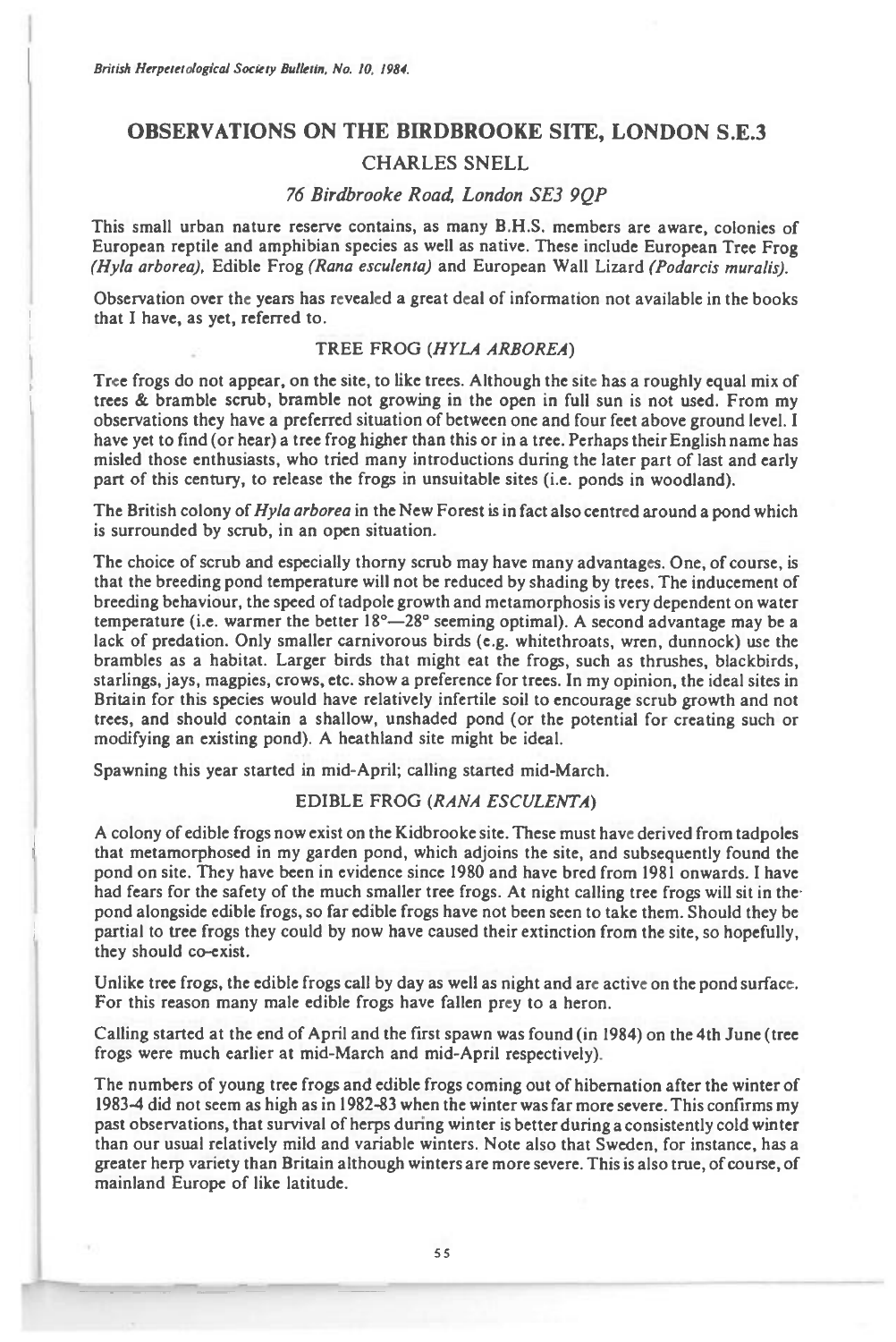# **OBSERVATIONS ON THE BIRDBROOKE SITE, LONDON S.E.3**

### **CHARLES SNELL**

## *76 Birdbrooke Road London SE3 9QP*

This small urban nature reserve contains, as many B.H.S. members are aware, colonies of European reptile and amphibian species as well as native. These include European Tree Frog *(Hyla arborea),* Edible Frog *(Rana esculenta)* and European Wall Lizard *(Podarcis muralis).* 

Observation over the years has revealed a great deal of information not available in the books that I have, as yet, referred to.

# TREE FROG *(HYLA ARBOREA)*

Tree frogs do not appear, on the site, to like trees. Although the site has a roughly equal mix of trees & bramble scrub, bramble not growing in the open in full sun is not used. From my observations they have a preferred situation of between one and four feet above ground level. I have yet to find (or hear) a tree frog higher than this or in a tree. Perhaps their English name has misled those enthusiasts, who tried many introductions during the later part of last and early part of this century, to release the frogs in unsuitable sites (i.e. ponds in woodland).

The British colony of *Hyla arborea* in the New Forest is in fact also centred around a pond which is surrounded by scrub, in an open situation.

The choice of scrub and especially thorny scrub may have many advantages. One, of course, is that the breeding pond temperature will not be reduced by shading by trees. The inducement of breeding behaviour, the speed of tadpole growth and metamorphosis is very dependent on water temperature (i.e. warmer the better  $18^\circ - 28^\circ$  seeming optimal). A second advantage may be a lack of predation. Only smaller carnivorous birds (e.g. whitethroats, wren, dunnock) use the brambles as a habitat. Larger birds that might eat the frogs, such as thrushes, blackbirds, starlings, jays, magpies, crows, etc. show a preference for trees. In my opinion, the ideal sites in Britain for this species would have relatively infertile soil to encourage scrub growth and not trees, and should contain a shallow, unshaded pond (or the potential for creating such or modifying an existing pond). A heathland site might be ideal.

Spawning this year started in mid-April; calling started mid-March.

## EDIBLE FROG *(RANA ESCULENTA)*

A colony of edible frogs now exist on the Kidbrooke site. These must have derived from tadpoles that metamorphosed in my garden pond, which adjoins the site, and subsequently found the pond on site. They have been in evidence since 1980 and have bred from 1981 onwards. I have had fears for the safety of the much smaller tree frogs. At night calling tree frogs will sit in thepond alongside edible frogs, so far edible frogs have not been seen to take them. Should they be partial to tree frogs they could by now have caused their extinction from the site, so hopefully, they should co-exist.

Unlike tree frogs, the edible frogs call by day as well as night and are active on the pond surface. For this reason many male edible frogs have fallen prey to a heron.

Calling started at the end of April and the first spawn was found (in 1984) on the 4th June (tree frogs were much earlier at mid-March and mid-April respectively).

The numbers of young tree frogs and edible frogs coming out of hibernation after the winter of 1983-4 did not seem as high as in 1982-83 when the winter was far more *severe.* This confirms my past observations, that survival of herps during winter is better during a consistently cold winter than our usual relatively mild and variable winters. Note also that Sweden, for instance, has a greater herp variety than Britain although winters are more *severe.* This is also true, of course, of mainland Europe of like latitude.